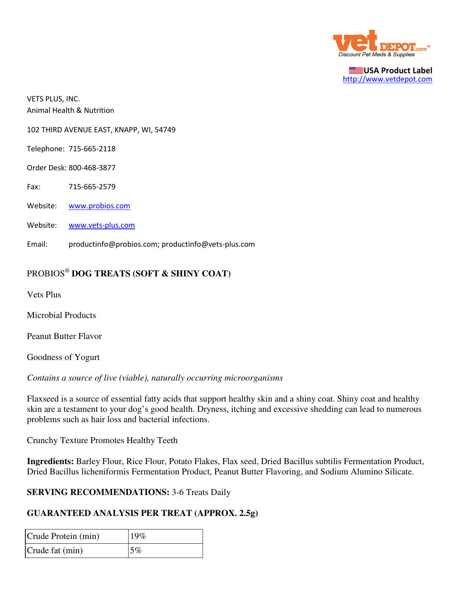

USA Product Label http://www.vetdepot.com

VETS PLUS, INC. Animal Health & Nutrition

102 THIRD AVENUE EAST, KNAPP, WI, 54749

Telephone: 715-665-2118

Order Desk: 800-468-3877

Fax: 715-665-2579

Website: www.probios.com

Website: www.vets-plus.com

Email: productinfo@probios.com; productinfo@vets-plus.com

## PROBIOS®  **DOG TREATS (SOFT & SHINY COAT)**

Vets Plus

Microbial Products

Peanut Butter Flavor

Goodness of Yogurt

*Contains a source of live (viable), naturally occurring microorganisms*

Flaxseed is a source of essential fatty acids that support healthy skin and a shiny coat. Shiny coat and healthy skin are a testament to your dog's good health. Dryness, itching and excessive shedding can lead to numerous problems such as hair loss and bacterial infections.

Crunchy Texture Promotes Healthy Teeth

**Ingredients:** Barley Flour, Rice Flour, Potato Flakes, Flax seed, Dried Bacillus subtilis Fermentation Product, Dried Bacillus licheniformis Fermentation Product, Peanut Butter Flavoring, and Sodium Alumino Silicate.

## **SERVING RECOMMENDATIONS:** 3-6 Treats Daily

## **GUARANTEED ANALYSIS PER TREAT (APPROX. 2.5g)**

| Crude Protein (min) | 19% |
|---------------------|-----|
| Crude fat (min)     | 5%  |